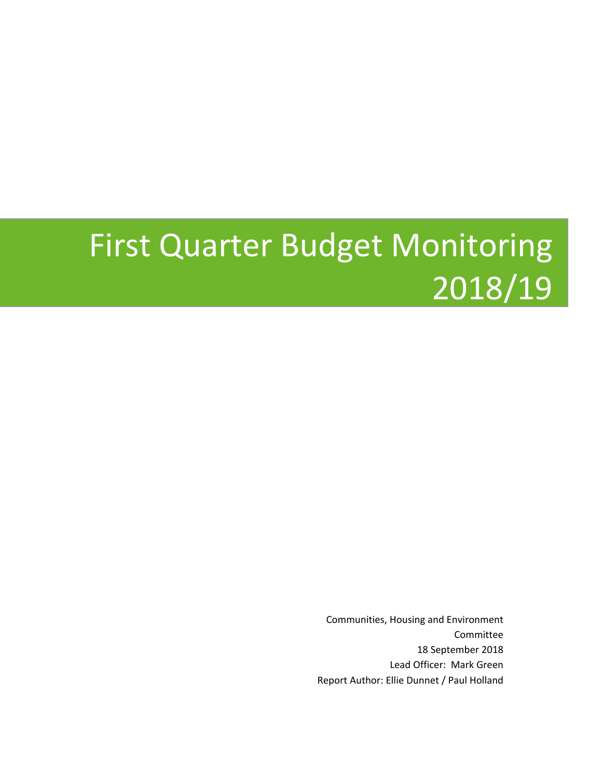# First Quarter Budget Monitoring 2018/19

Communities, Housing and Environment Committee 18 September 2018 Lead Officer: Mark Green Report Author: Ellie Dunnet / Paul Holland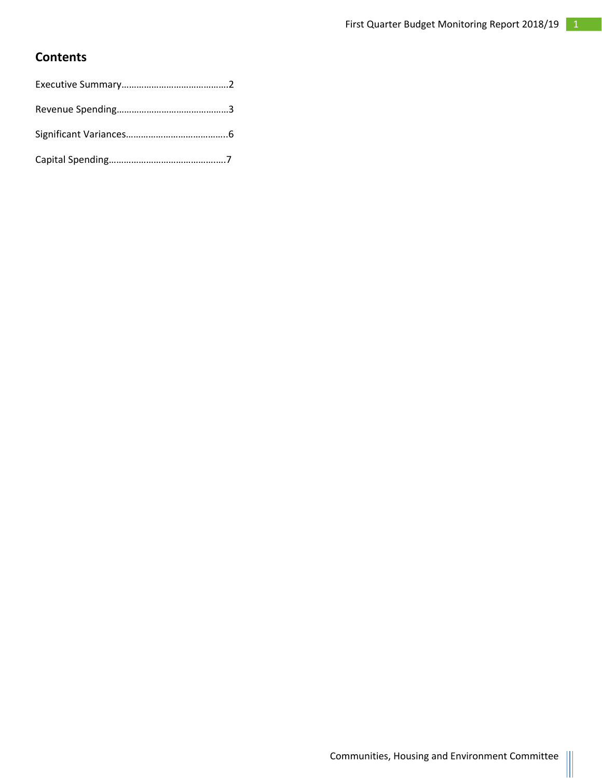### **Contents**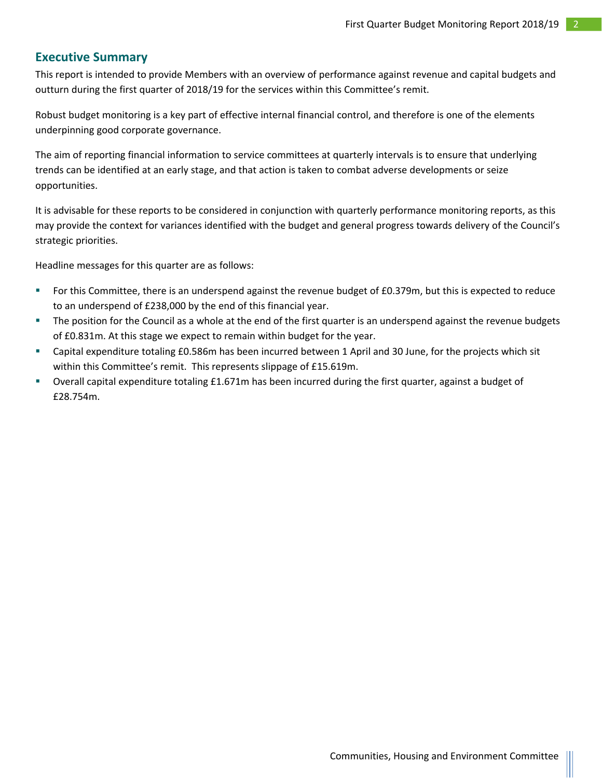### **Executive Summary**

This report is intended to provide Members with an overview of performance against revenue and capital budgets and outturn during the first quarter of 2018/19 for the services within this Committee's remit.

Robust budget monitoring is a key part of effective internal financial control, and therefore is one of the elements underpinning good corporate governance.

The aim of reporting financial information to service committees at quarterly intervals is to ensure that underlying trends can be identified at an early stage, and that action is taken to combat adverse developments or seize opportunities.

It is advisable for these reports to be considered in conjunction with quarterly performance monitoring reports, as this may provide the context for variances identified with the budget and general progress towards delivery of the Council's strategic priorities.

Headline messages for this quarter are as follows:

- For this Committee, there is an underspend against the revenue budget of £0.379m, but this is expected to reduce to an underspend of £238,000 by the end of this financial year.
- The position for the Council as a whole at the end of the first quarter is an underspend against the revenue budgets of £0.831m. At this stage we expect to remain within budget for the year.
- Capital expenditure totaling £0.586m has been incurred between 1 April and 30 June, for the projects which sit within this Committee's remit. This represents slippage of £15.619m.
- Overall capital expenditure totaling £1.671m has been incurred during the first quarter, against a budget of £28.754m.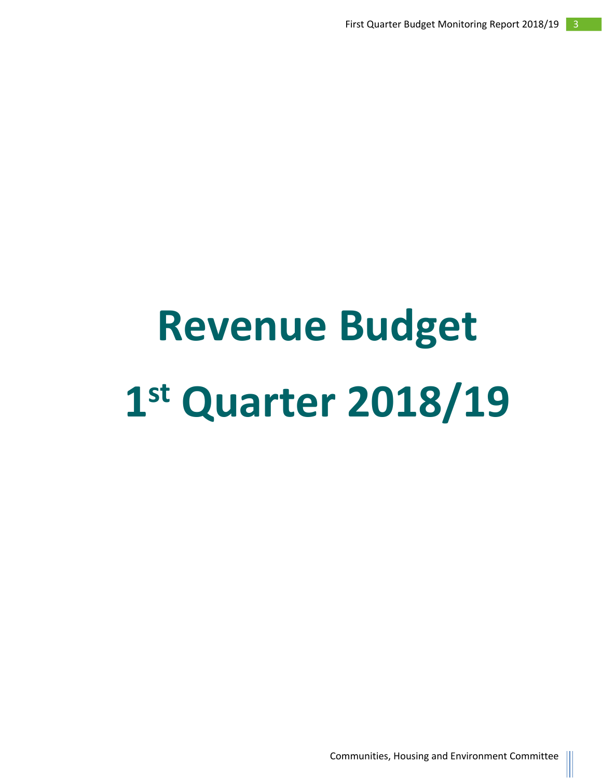# **Revenue Budget 1 st Quarter 2018/19**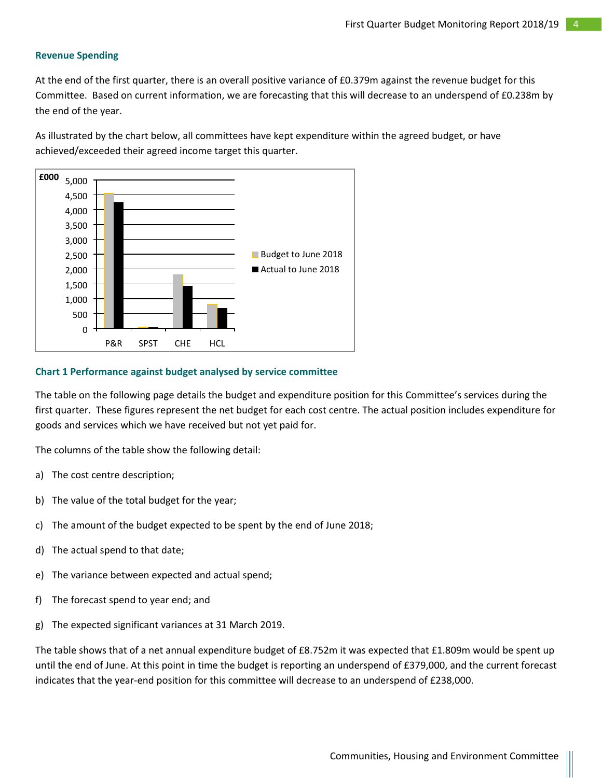#### **Revenue Spending**

At the end of the first quarter, there is an overall positive variance of £0.379m against the revenue budget for this Committee. Based on current information, we are forecasting that this will decrease to an underspend of £0.238m by the end of the year.

As illustrated by the chart below, all committees have kept expenditure within the agreed budget, or have achieved/exceeded their agreed income target this quarter.



#### **Chart 1 Performance against budget analysed by service committee**

The table on the following page details the budget and expenditure position for this Committee's services during the first quarter. These figures represent the net budget for each cost centre. The actual position includes expenditure for goods and services which we have received but not yet paid for.

The columns of the table show the following detail:

- a) The cost centre description;
- b) The value of the total budget for the year;
- c) The amount of the budget expected to be spent by the end of June 2018;
- d) The actual spend to that date;
- e) The variance between expected and actual spend;
- f) The forecast spend to year end; and
- g) The expected significant variances at 31 March 2019.

The table shows that of a net annual expenditure budget of £8.752m it was expected that £1.809m would be spent up until the end of June. At this point in time the budget is reporting an underspend of £379,000, and the current forecast indicates that the year-end position for this committee will decrease to an underspend of £238,000.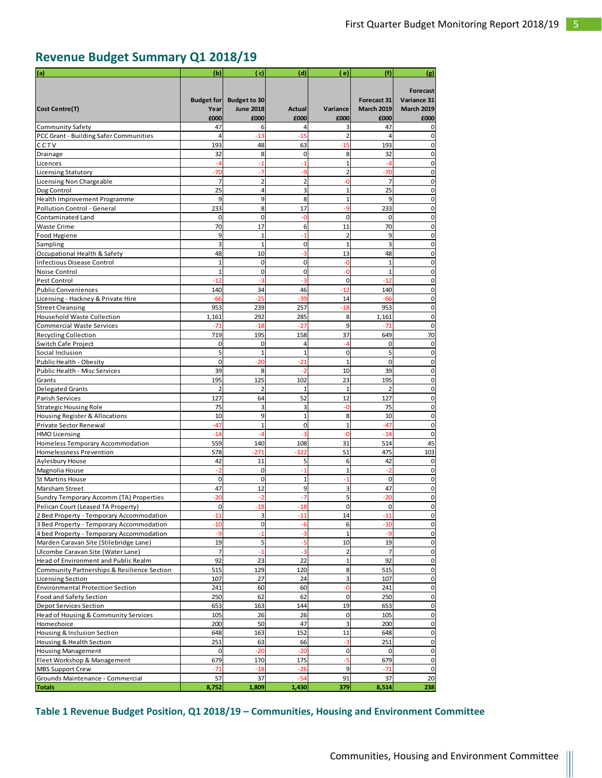# **Revenue Budget Summary Q1 2018/19**

| (a)                                                         | (b)                       | ( c)                                    | (d)                 | ( e)                | (f)                              | (g)                              |
|-------------------------------------------------------------|---------------------------|-----------------------------------------|---------------------|---------------------|----------------------------------|----------------------------------|
|                                                             |                           |                                         |                     |                     |                                  |                                  |
|                                                             |                           |                                         |                     |                     |                                  | Forecast                         |
| <b>Cost Centre(T)</b>                                       | <b>Budget for</b><br>Year | <b>Budget to 30</b><br><b>June 2018</b> | <b>Actual</b>       | Variance            | Forecast 31<br><b>March 2019</b> | Variance 31<br><b>March 2019</b> |
|                                                             | £000                      | £000                                    | £000                | £000                | £000                             | £000                             |
| <b>Community Safety</b>                                     | 47                        | 6                                       | 4                   | 3                   | 47                               | O                                |
| PCC Grant - Building Safer Communities                      | $\overline{4}$            | $-13$                                   | $-15$               | $\overline{2}$      | $\Delta$                         | $\Omega$                         |
| CCTV                                                        | 193                       | 48                                      | 63                  | $-15$               | 193                              | $\Omega$                         |
| Drainage                                                    | 32                        | 8                                       | $\overline{0}$      | 8                   | 32                               | 0                                |
| Licences                                                    | -4                        | $-1$                                    | $-1$                | $\overline{1}$      | -4                               | 0                                |
| Licensing Statutory                                         | $-70$                     | $-7$                                    | $-9$                | $\overline{2}$      | $-70$                            | 0                                |
| Licensing Non Chargeable                                    | 7                         | $\overline{2}$                          | $\overline{2}$      | -0                  | 7                                | 0                                |
| Dog Control                                                 | 25                        | $\overline{4}$                          | 3                   | $\overline{1}$      | 25                               | 0                                |
| Health Improvement Programme<br>Pollution Control - General | 9<br>233                  | 9<br>8                                  | 8<br>17             | $\mathbf{1}$<br>-9  | 9<br>233                         | $\Omega$<br>0                    |
| Contaminated Land                                           | 0                         | $\mathbf 0$                             | -0                  | $\mathbf 0$         | 0                                | 0                                |
| Waste Crime                                                 | 70                        | 17                                      | 6                   | 11                  | 70                               | $\mathbf 0$                      |
| Food Hygiene                                                | 9                         | $\mathbf{1}$                            | $-1$                | $\overline{2}$      | 9                                | $\mathbf 0$                      |
| Sampling                                                    | 3                         | $\mathbf{1}$                            | $\overline{0}$      | $\mathbf{1}$        | 3                                | $\mathbf 0$                      |
| Occupational Health & Safety                                | 48                        | 10                                      | -3                  | 13                  | 48                               | $\mathbf 0$                      |
| <b>Infectious Disease Control</b>                           | $\mathbf{1}$              | $\mathbf 0$                             | $\overline{0}$      | -0                  | $\mathbf{1}$                     | 0                                |
| Noise Control                                               | $\mathbf{1}$              | $\mathbf 0$                             | $\overline{0}$      | $-0$                | $\mathbf{1}$                     | 0                                |
| Pest Control                                                | $-12$                     | -3                                      | -3                  | $\mathbf 0$         | $-12$                            | 0                                |
| <b>Public Conveniences</b>                                  | 140                       | 34                                      | 46                  | $-12$               | 140                              | 0                                |
| Licensing - Hackney & Private Hire                          | $-66$                     | $-25$                                   | -39                 | 14                  | -66                              | 0                                |
| <b>Street Cleansing</b>                                     | 953                       | 239                                     | 257                 | $-18$               | 953                              | 0                                |
| <b>Household Waste Collection</b>                           | 1,161                     | 292                                     | 285                 | 8                   | 1,161                            | $\mathbf 0$                      |
| Commercial Waste Services                                   | $-71$                     | $-18$                                   | $-27$               | 9                   | $-71$                            | $\mathbf 0$                      |
| Recycling Collection                                        | 719                       | 195                                     | 158                 | 37                  | 649                              | 70                               |
| Switch Cafe Project<br>Social Inclusion                     | 0<br>5                    | $\mathbf 0$<br>$\mathbf{1}$             | 4<br>$\overline{1}$ | -4<br>$\mathbf 0$   | 0<br>5                           | 0<br>$\Omega$                    |
| Public Health - Obesity                                     | $\mathbf 0$               | $-20$                                   | $-21$               | $\overline{1}$      | 0                                | $\mathbf 0$                      |
| Public Health - Misc Services                               | 39                        | 8                                       | -2                  | 10                  | 39                               | 0                                |
| Grants                                                      | 195                       | 125                                     | 102                 | 23                  | 195                              | 0                                |
| Delegated Grants                                            | $\overline{2}$            | $\overline{2}$                          | $\mathbf{1}$        | $\mathbf{1}$        | $\overline{2}$                   | $\mathbf 0$                      |
| Parish Services                                             | 127                       | 64                                      | 52                  | 12                  | 127                              | $\mathbf 0$                      |
| Strategic Housing Role                                      | 75                        | 3                                       | 3                   | $-0$                | 75                               | 0                                |
| Housing Register & Allocations                              | 10                        | 9                                       | $1\,$               | 8                   | 10                               | 0                                |
| Private Sector Renewal                                      | $-47$                     | $\mathbf 1$                             | 0                   | $\overline{1}$      | $-47$                            | 0                                |
| <b>HMO Licensing</b>                                        | $-14$                     | -4                                      | -3                  | -0                  | $-14$                            | $\mathbf 0$                      |
| Homeless Temporary Accommodation                            | 559                       | 140                                     | 108                 | 31                  | 514                              | 45                               |
| <b>Homelessness Prevention</b>                              | 578                       | $-271$                                  | $-322$              | 51                  | 475                              | 103                              |
| Aylesbury House                                             | 42<br>-2                  | 11<br>$\mathbf 0$                       | 5<br>$\overline{1}$ | 6<br>$\mathbf{1}$   | 42<br>$-2$                       | 0                                |
| Magnolia House<br><b>St Martins House</b>                   | 0                         | $\mathbf 0$                             | $\mathbf{1}$        | $-1$                | 0                                | 0<br>0                           |
| Marsham Street                                              | 47                        | 12                                      | 9                   | 3                   | 47                               | $\Omega$                         |
| Sundry Temporary Accomm (TA) Properties                     | $-20$                     |                                         |                     | 5                   | $-20$                            | 0                                |
| Pelican Court (Leased TA Property)                          | $\Omega$                  |                                         |                     | O                   | $\Omega$                         |                                  |
| 2 Bed Property - Temporary Accommodation                    | $-11$                     | 3                                       | $-11$               | 14                  | $-11$                            | $\mathbf{0}$                     |
| 3 Bed Property - Temporary Accommodation                    | $-10$                     | $\mathbf 0$                             | $-6$                | 6                   | $-10$                            | $\overline{0}$                   |
| 4 bed Property - Temporary Accommodation                    | -9                        | $-1$                                    | -3                  | $\mathbf{1}$        | -9                               | $\overline{0}$                   |
| Marden Caravan Site (Stilebridge Lane)                      | 19                        | 5                                       | $-5$                | 10                  | 19                               | $\mathbf 0$                      |
| Ulcombe Caravan Site (Water Lane)                           | 7                         | $-1$                                    | $-3$                | $\overline{2}$      | 7                                | $\mathbf 0$                      |
| Head of Environment and Public Realm                        | 92                        | 23                                      | 22                  | $\mathbf{1}$        | 92                               | $\pmb{0}$                        |
| Community Partnerships & Resilience Section                 | 515                       | 129                                     | 120                 | 8                   | 515                              | $\mathsf{O}\xspace$              |
| <b>Licensing Section</b>                                    | 107                       | 27                                      | 24                  | 3                   | 107                              | $\mathbf 0$                      |
| Environmental Protection Section                            | 241<br>250                | 60<br>62                                | 60<br>62            | $-0$<br>$\mathbf 0$ | 241                              | $\mathbf 0$<br>$\mathbf 0$       |
| Food and Safety Section<br>Depot Services Section           | 653                       | 163                                     | 144                 | 19                  | 250<br>653                       | $\mathbf 0$                      |
| Head of Housing & Community Services                        | 105                       | 26                                      | 26                  | $\mathbf 0$         | 105                              | $\mathbf 0$                      |
| Homechoice                                                  | 200                       | 50                                      | 47                  | 3                   | 200                              | $\mathbf 0$                      |
| Housing & Inclusion Section                                 | 648                       | 163                                     | 152                 | 11                  | 648                              | $\mathbf 0$                      |
| Housing & Health Section                                    | 251                       | 63                                      | 66                  | $-3$                | 251                              | $\mathbf 0$                      |
| <b>Housing Management</b>                                   | $\mathbf 0$               | $-20$                                   | $-20$               | $\mathbf 0$         | $\mathbf 0$                      | $\mathbf 0$                      |
| Fleet Workshop & Management                                 | 679                       | 170                                     | 175                 | $-5$                | 679                              | $\overline{0}$                   |
| <b>MBS Support Crew</b>                                     | $-71$                     | $-18$                                   | $-26$               | 9                   | $-71$                            | $\overline{0}$                   |
| Grounds Maintenance - Commercial                            | 57                        | 37                                      | $-54$               | 91                  | 37                               | 20                               |
| <b>Totals</b>                                               | 8,752                     | 1,809                                   | 1,430               | 379                 | 8,514                            | 238                              |

**Table 1 Revenue Budget Position, Q1 2018/19 – Communities, Housing and Environment Committee**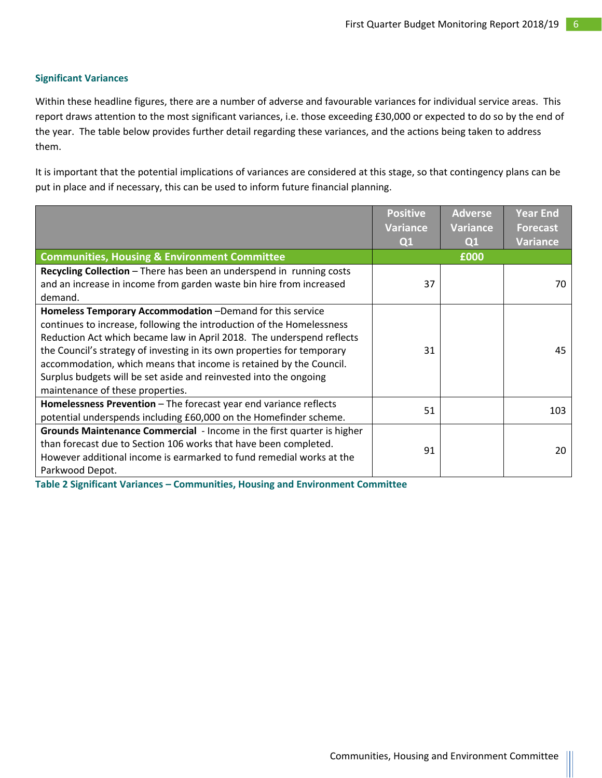#### **Significant Variances**

Within these headline figures, there are a number of adverse and favourable variances for individual service areas. This report draws attention to the most significant variances, i.e. those exceeding £30,000 or expected to do so by the end of the year. The table below provides further detail regarding these variances, and the actions being taken to address them.

It is important that the potential implications of variances are considered at this stage, so that contingency plans can be put in place and if necessary, this can be used to inform future financial planning.

|                                                                         | <b>Positive</b> | <b>Adverse</b>  | <b>Year End</b> |
|-------------------------------------------------------------------------|-----------------|-----------------|-----------------|
|                                                                         | <b>Variance</b> | <b>Variance</b> | <b>Forecast</b> |
|                                                                         | Q <sub>1</sub>  | Q <sub>1</sub>  | <b>Variance</b> |
| <b>Communities, Housing &amp; Environment Committee</b>                 |                 | £000            |                 |
| Recycling Collection - There has been an underspend in running costs    |                 |                 |                 |
| and an increase in income from garden waste bin hire from increased     | 37              |                 | 70              |
| demand.                                                                 |                 |                 |                 |
| Homeless Temporary Accommodation -Demand for this service               |                 |                 |                 |
| continues to increase, following the introduction of the Homelessness   |                 |                 |                 |
| Reduction Act which became law in April 2018. The underspend reflects   |                 |                 |                 |
| the Council's strategy of investing in its own properties for temporary | 31              |                 | 45              |
| accommodation, which means that income is retained by the Council.      |                 |                 |                 |
| Surplus budgets will be set aside and reinvested into the ongoing       |                 |                 |                 |
| maintenance of these properties.                                        |                 |                 |                 |
| Homelessness Prevention - The forecast year end variance reflects       | 51              |                 | 103             |
| potential underspends including £60,000 on the Homefinder scheme.       |                 |                 |                 |
| Grounds Maintenance Commercial - Income in the first quarter is higher  |                 |                 |                 |
| than forecast due to Section 106 works that have been completed.        | 91              |                 | 20              |
| However additional income is earmarked to fund remedial works at the    |                 |                 |                 |
| Parkwood Depot.                                                         |                 |                 |                 |

**Table 2 Significant Variances – Communities, Housing and Environment Committee**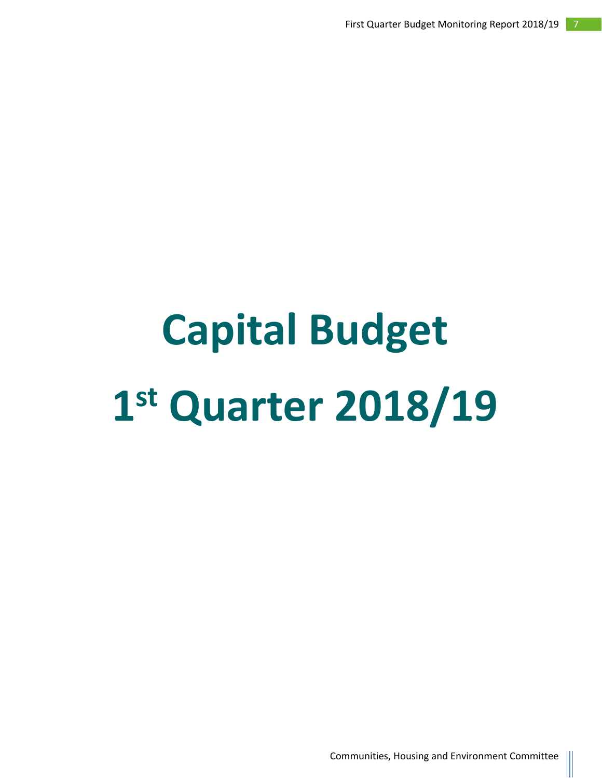# **Capital Budget 1 st Quarter 2018/19**